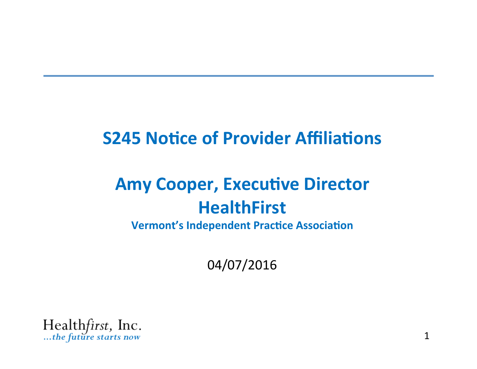### **S245 Notice of Provider Affiliations**

## **Amy Cooper, Executive Director HealthFirst**

**Vermont's Independent Practice Association** 

04/07/2016

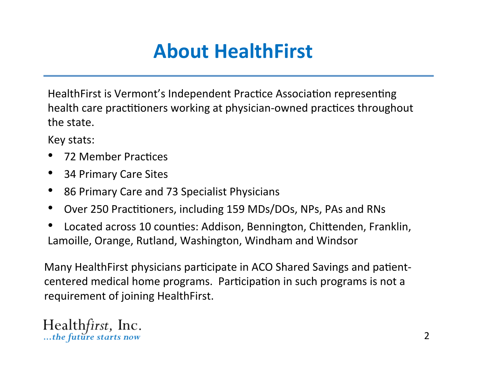## **About HealthFirst**

HealthFirst is Vermont's Independent Practice Association representing health care practitioners working at physician-owned practices throughout the state.

Key stats: 

- 72 Member Practices
- 34 Primary Care Sites
- 86 Primary Care and 73 Specialist Physicians
- Over 250 Practitioners, including 159 MDs/DOs, NPs, PAs and RNs
- Located across 10 counties: Addison, Bennington, Chittenden, Franklin, Lamoille, Orange, Rutland, Washington, Windham and Windsor

Many HealthFirst physicians participate in ACO Shared Savings and patientcentered medical home programs. Participation in such programs is not a requirement of joining HealthFirst.

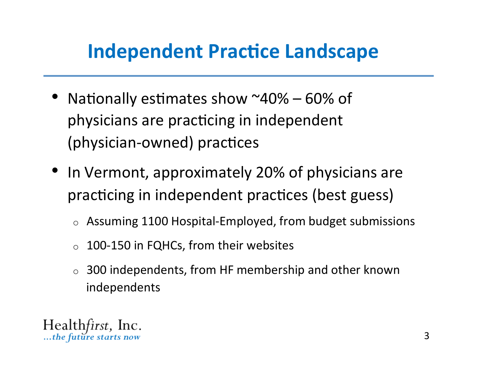## **Independent Practice Landscape**

- Nationally estimates show  $^{\sim}40\%$  60% of physicians are practicing in independent (physician-owned) practices
- In Vermont, approximately 20% of physicians are practicing in independent practices (best guess)
	- $\circ$  Assuming 1100 Hospital-Employed, from budget submissions
	- 100-150 in FQHCs, from their websites  $\circ$
	- 300 independents, from HF membership and other known  $\circ$ independents

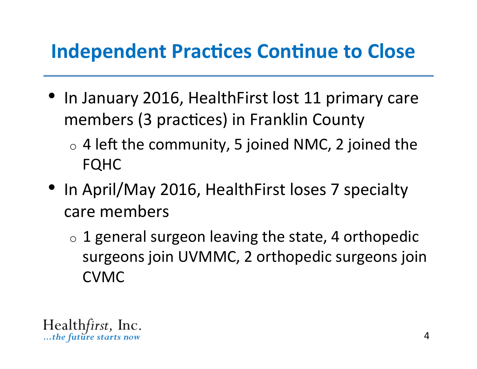## **Independent Practices Continue to Close**

- In January 2016, HealthFirst lost 11 primary care members (3 practices) in Franklin County
	- $\circ$  4 left the community, 5 joined NMC, 2 joined the FQHC
- In April/May 2016, HealthFirst loses 7 specialty care members
	- $\circ$  1 general surgeon leaving the state, 4 orthopedic surgeons join UVMMC, 2 orthopedic surgeons join CVMC

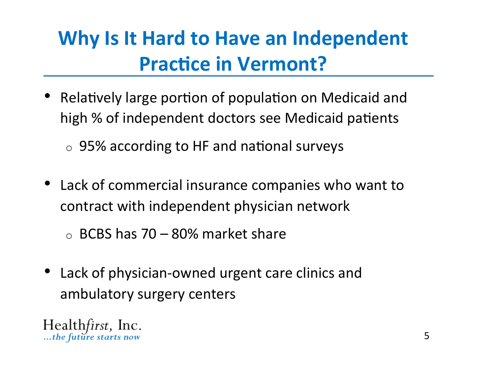# **Why Is It Hard to Have an Independent Practice in Vermont?**

- Relatively large portion of population on Medicaid and high % of independent doctors see Medicaid patients
	- $\circ$  95% according to HF and national surveys
- Lack of commercial insurance companies who want to contract with independent physician network

 $\circ$  BCBS has 70 – 80% market share

• Lack of physician-owned urgent care clinics and ambulatory surgery centers

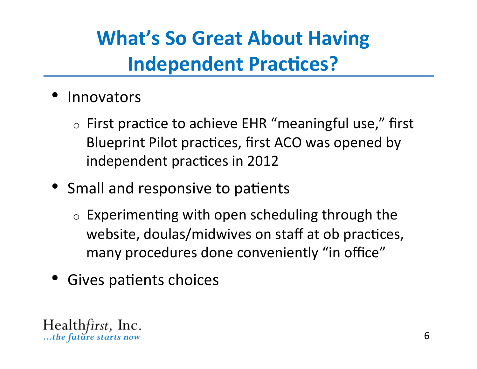# **What's So Great About Having Independent Practices?**

- **Innovators** 
	- $\circ$  First practice to achieve EHR "meaningful use," first Blueprint Pilot practices, first ACO was opened by independent practices in 2012
- Small and responsive to patients
	- $\circ$  Experimenting with open scheduling through the website, doulas/midwives on staff at ob practices, many procedures done conveniently "in office"
- Gives patients choices

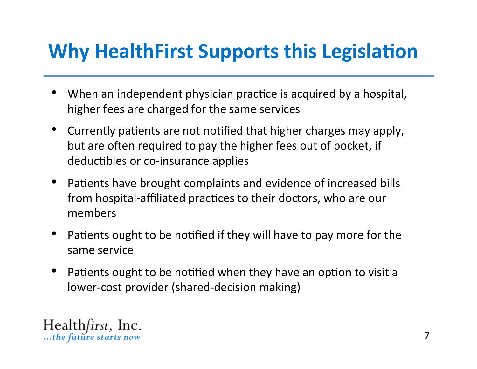## **Why HealthFirst Supports this Legislation**

- When an independent physician practice is acquired by a hospital, higher fees are charged for the same services
- Currently patients are not notified that higher charges may apply, but are often required to pay the higher fees out of pocket, if deductibles or co-insurance applies
- Patients have brought complaints and evidence of increased bills from hospital-affiliated practices to their doctors, who are our members
- Patients ought to be notified if they will have to pay more for the same service
- Patients ought to be notified when they have an option to visit a lower-cost provider (shared-decision making)

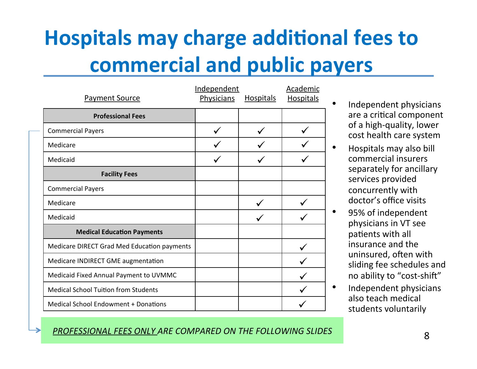# **Hospitals may charge additional fees to commercial and public payers**

| <b>Payment Source</b>                       | Independent<br><b>Physicians</b><br><b>Hospitals</b> |  | <b>Academic</b><br><b>Hospitals</b> |
|---------------------------------------------|------------------------------------------------------|--|-------------------------------------|
| <b>Professional Fees</b>                    |                                                      |  |                                     |
| <b>Commercial Payers</b>                    |                                                      |  |                                     |
| Medicare                                    |                                                      |  |                                     |
| Medicaid                                    |                                                      |  |                                     |
| <b>Facility Fees</b>                        |                                                      |  |                                     |
| <b>Commercial Payers</b>                    |                                                      |  |                                     |
| Medicare                                    |                                                      |  |                                     |
| Medicaid                                    |                                                      |  |                                     |
| <b>Medical Education Payments</b>           |                                                      |  |                                     |
| Medicare DIRECT Grad Med Education payments |                                                      |  |                                     |
| Medicare INDIRECT GME augmentation          |                                                      |  |                                     |
| Medicaid Fixed Annual Payment to UVMMC      |                                                      |  |                                     |
| <b>Medical School Tuition from Students</b> |                                                      |  |                                     |
| Medical School Endowment + Donations        |                                                      |  |                                     |

- Independent physicians are a critical component of a high-quality, lower cost health care system
- Hospitals may also bill commercial insurers separately for ancillary services provided concurrently with doctor's office visits
- 95% of independent physicians in VT see patients with all insurance and the uninsured, often with sliding fee schedules and no ability to "cost-shift"
- Independent physicians also teach medical students voluntarily

#### PROFESSIONAL FEES ONLY ARE COMPARED ON THE FOLLOWING SLIDES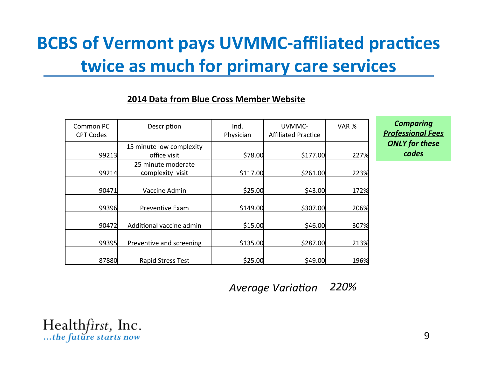### **BCBS of Vermont pays UVMMC-affiliated practices twice as much for primary care services**

#### **2014 Data from Blue Cross Member Website**

| Common PC<br><b>CPT Codes</b> | Description                              | Ind.<br>Physician | UVMMC-<br><b>Affiliated Practice</b> | VAR % |
|-------------------------------|------------------------------------------|-------------------|--------------------------------------|-------|
| 99213                         | 15 minute low complexity<br>office visit | \$78.00           | \$177.00                             | 227%  |
| 99214                         | 25 minute moderate<br>complexity visit   | \$117.00          | \$261.00                             | 223%  |
| 90471                         | Vaccine Admin                            | \$25.00           | \$43.00                              | 172%  |
| 99396                         | Preventive Exam                          | \$149.00          | \$307.00                             | 206%  |
| 90472                         | Additional vaccine admin                 | \$15.00           | \$46.00                              | 307%  |
| 99395                         | Preventive and screening                 | \$135.00          | \$287.00                             | 213%  |
| 87880                         | <b>Rapid Stress Test</b>                 | \$25.00           | \$49.00                              | 196%  |

**Comparing Professional Fees ONLY** for these *codes* 

**Average Variation** 220%

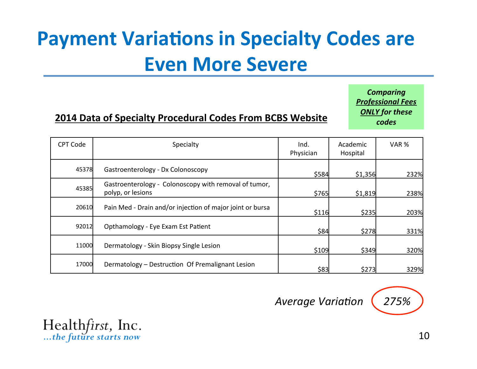# **Payment Variations in Specialty Codes are Even More Severe**

### **2014 Data of Specialty Procedural Codes From BCBS Website**

**Comparing Professional Fees ONLY** for these *codes* 

| <b>CPT Code</b> | Specialty                                                                  | Ind.<br>Physician | Academic<br>Hospital | VAR % |
|-----------------|----------------------------------------------------------------------------|-------------------|----------------------|-------|
| 45378           | Gastroenterology - Dx Colonoscopy                                          | \$584             | \$1,356              | 232%  |
| 45385           | Gastroenterology - Colonoscopy with removal of tumor,<br>polyp, or lesions | \$765             | \$1,819              | 238%  |
| 20610           | Pain Med - Drain and/or injection of major joint or bursa                  | \$116             | \$235                | 203%  |
| 92012           | Opthamology - Eye Exam Est Patient                                         | \$84              | \$278                | 331%  |
| 11000           | Dermatology - Skin Biopsy Single Lesion                                    | \$109             | \$349                | 320%  |
| 17000           | Dermatology - Destruction Of Premalignant Lesion                           | \$83              | \$273                | 329%  |





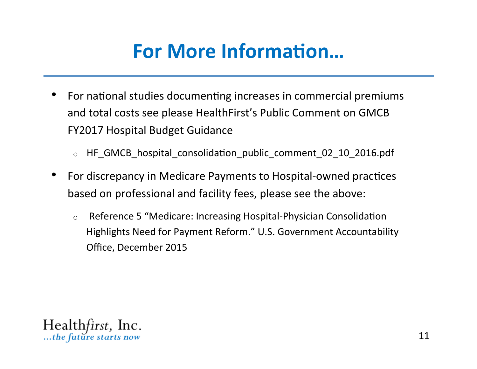## **For More Information...**

- For national studies documenting increases in commercial premiums and total costs see please HealthFirst's Public Comment on GMCB FY2017 Hospital Budget Guidance
	- o HF\_GMCB\_hospital\_consolida8on\_public\_comment\_02\_10\_2016.pdf
- For discrepancy in Medicare Payments to Hospital-owned practices based on professional and facility fees, please see the above:
	- $\circ$  Reference 5 "Medicare: Increasing Hospital-Physician Consolidation Highlights Need for Payment Reform." U.S. Government Accountability Office, December 2015